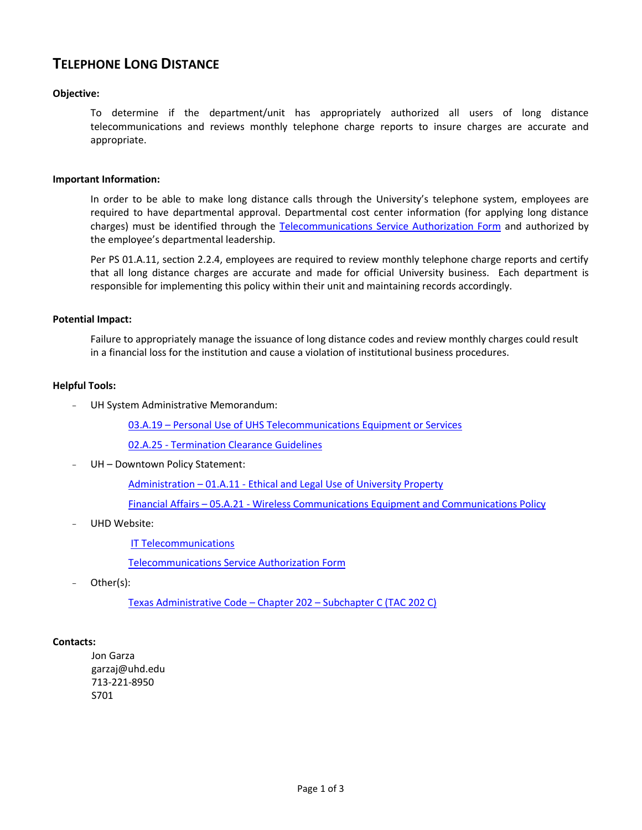# **TELEPHONE LONG DISTANCE**

# **Objective:**

To determine if the department/unit has appropriately authorized all users of long distance telecommunications and reviews monthly telephone charge reports to insure charges are accurate and appropriate.

### **Important Information:**

In order to be able to make long distance calls through the University's telephone system, employees are required to have departmental approval. Departmental cost center information (for applying long distance charges) must be identified through the [Telecommunications Service Authorization Form](http://www.uhd.edu/computing/helpdesk/documents/TelecommunicationsAuthorizationForm.pdf) and authorized by the employee's departmental leadership.

Per PS 01.A.11, section 2.2.4, employees are required to review monthly telephone charge reports and certify that all long distance charges are accurate and made for official University business. Each department is responsible for implementing this policy within their unit and maintaining records accordingly.

# **Potential Impact:**

Failure to appropriately manage the issuance of long distance codes and review monthly charges could result in a financial loss for the institution and cause a violation of institutional business procedures.

# **Helpful Tools:**

UH System Administrative Memorandum:

03.A.19 – [Personal Use of UHS Telecommunications Equipment or Services](http://www.uhsa.uh.edu/sam/3FicsalAffairs/3A19.pdf)

02.A.25 - [Termination Clearance Guidelines](http://www.uh.edu/af/universityservices/policies/sam/2HumanResources/2A25.pdf)

UH - Downtown Policy Statement:

Administration – 01.A.11 - [Ethical and Legal Use of University Property](http://www.uhd.edu/about/hr/PS01A11.pdf)

Financial Affairs – 05.A.21 - [Wireless Communications Equipment and Communications Policy](http://www.uhd.edu/about/hr/PS05A21.pdf)

UHD Website:

[IT Telecommunications](http://www.uhd.edu/computing/operations/telecommunications/)

[Telecommunications Service Authorization Form](http://www.uhd.edu/computing/helpdesk/documents/TelecommunicationsAuthorizationForm.pdf)

Other(s):

[Texas Administrative Code](http://info.sos.state.tx.us/pls/pub/readtac$ext.ViewTAC?tac_view=5&ti=1&pt=10&ch=202&sch=C&rl=Y) – Chapter 202 – Subchapter C (TAC 202 C)

### **Contacts:**

Jon Garza garzaj@uhd.edu 713-221-8950 S701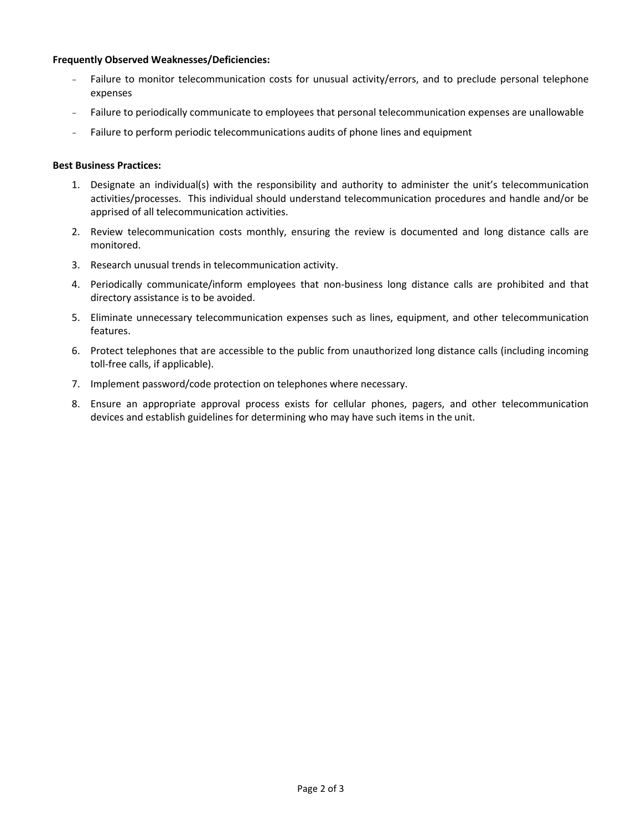### **Frequently Observed Weaknesses/Deficiencies:**

- Failure to monitor telecommunication costs for unusual activity/errors, and to preclude personal telephone expenses
- Failure to periodically communicate to employees that personal telecommunication expenses are unallowable
- Failure to perform periodic telecommunications audits of phone lines and equipment

#### **Best Business Practices:**

- 1. Designate an individual(s) with the responsibility and authority to administer the unit's telecommunication activities/processes. This individual should understand telecommunication procedures and handle and/or be apprised of all telecommunication activities.
- 2. Review telecommunication costs monthly, ensuring the review is documented and long distance calls are monitored.
- 3. Research unusual trends in telecommunication activity.
- 4. Periodically communicate/inform employees that non-business long distance calls are prohibited and that directory assistance is to be avoided.
- 5. Eliminate unnecessary telecommunication expenses such as lines, equipment, and other telecommunication features.
- 6. Protect telephones that are accessible to the public from unauthorized long distance calls (including incoming toll-free calls, if applicable).
- 7. Implement password/code protection on telephones where necessary.
- 8. Ensure an appropriate approval process exists for cellular phones, pagers, and other telecommunication devices and establish guidelines for determining who may have such items in the unit.